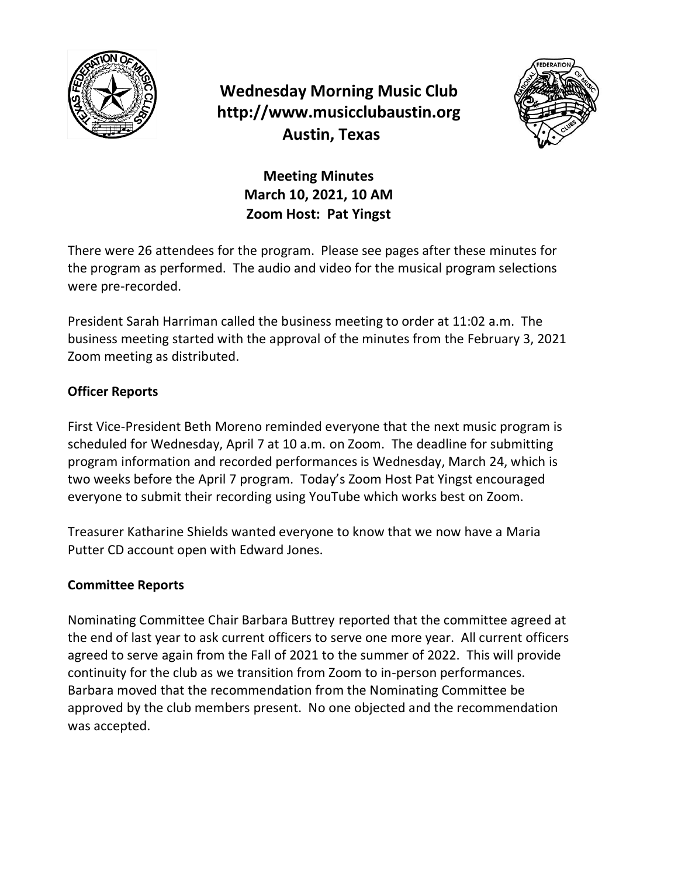

# **Wednesday Morning Music Club http://www.musicclubaustin.org Austin, Texas**



## **Meeting Minutes March 10, 2021, 10 AM Zoom Host: Pat Yingst**

There were 26 attendees for the program. Please see pages after these minutes for the program as performed. The audio and video for the musical program selections were pre-recorded.

President Sarah Harriman called the business meeting to order at 11:02 a.m. The business meeting started with the approval of the minutes from the February 3, 2021 Zoom meeting as distributed.

### **Officer Reports**

First Vice-President Beth Moreno reminded everyone that the next music program is scheduled for Wednesday, April 7 at 10 a.m. on Zoom. The deadline for submitting program information and recorded performances is Wednesday, March 24, which is two weeks before the April 7 program. Today's Zoom Host Pat Yingst encouraged everyone to submit their recording using YouTube which works best on Zoom.

Treasurer Katharine Shields wanted everyone to know that we now have a Maria Putter CD account open with Edward Jones.

### **Committee Reports**

Nominating Committee Chair Barbara Buttrey reported that the committee agreed at the end of last year to ask current officers to serve one more year. All current officers agreed to serve again from the Fall of 2021 to the summer of 2022. This will provide continuity for the club as we transition from Zoom to in-person performances. Barbara moved that the recommendation from the Nominating Committee be approved by the club members present. No one objected and the recommendation was accepted.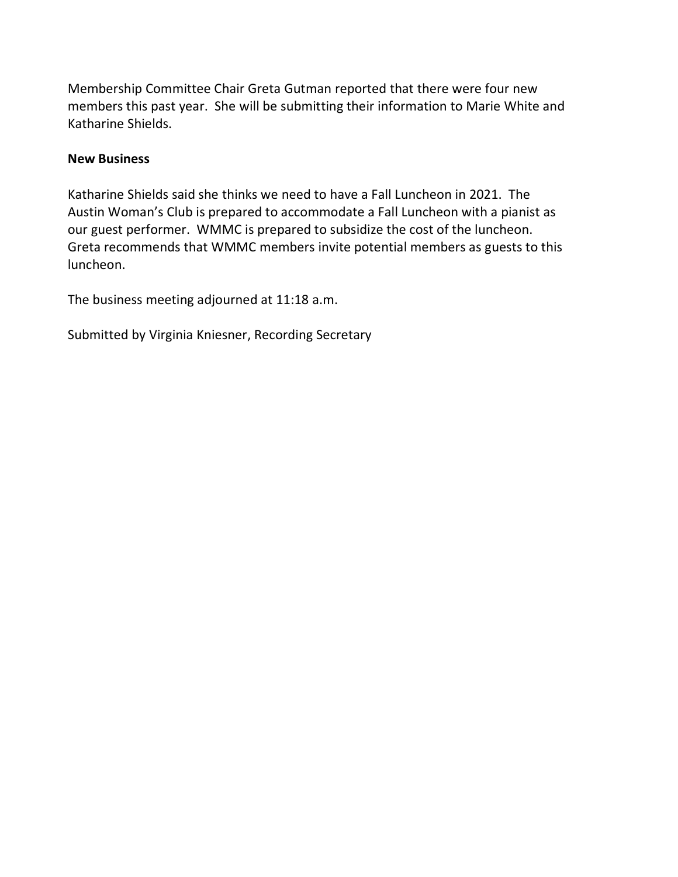Membership Committee Chair Greta Gutman reported that there were four new members this past year. She will be submitting their information to Marie White and Katharine Shields.

#### **New Business**

Katharine Shields said she thinks we need to have a Fall Luncheon in 2021. The Austin Woman's Club is prepared to accommodate a Fall Luncheon with a pianist as our guest performer. WMMC is prepared to subsidize the cost of the luncheon. Greta recommends that WMMC members invite potential members as guests to this luncheon.

The business meeting adjourned at 11:18 a.m.

Submitted by Virginia Kniesner, Recording Secretary